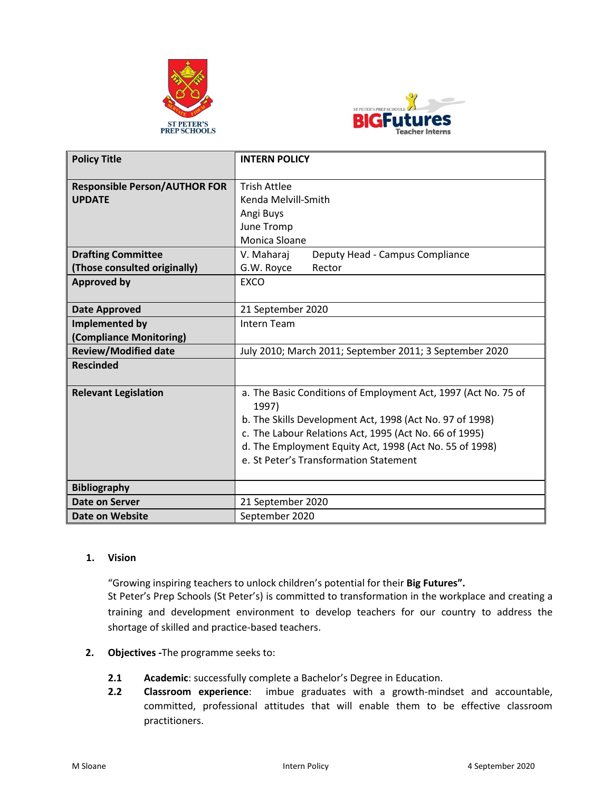



| <b>Policy Title</b>                                   | <b>INTERN POLICY</b>                                                                                                                                                                                                                                                                               |
|-------------------------------------------------------|----------------------------------------------------------------------------------------------------------------------------------------------------------------------------------------------------------------------------------------------------------------------------------------------------|
| <b>Responsible Person/AUTHOR FOR</b><br><b>UPDATE</b> | <b>Trish Attlee</b><br>Kenda Melvill-Smith<br>Angi Buys<br>June Tromp<br>Monica Sloane                                                                                                                                                                                                             |
| <b>Drafting Committee</b>                             | V. Maharaj<br>Deputy Head - Campus Compliance                                                                                                                                                                                                                                                      |
| (Those consulted originally)                          | G.W. Royce<br>Rector                                                                                                                                                                                                                                                                               |
| <b>Approved by</b>                                    | <b>EXCO</b>                                                                                                                                                                                                                                                                                        |
| <b>Date Approved</b>                                  | 21 September 2020                                                                                                                                                                                                                                                                                  |
| Implemented by                                        | <b>Intern Team</b>                                                                                                                                                                                                                                                                                 |
| (Compliance Monitoring)                               |                                                                                                                                                                                                                                                                                                    |
| <b>Review/Modified date</b>                           | July 2010; March 2011; September 2011; 3 September 2020                                                                                                                                                                                                                                            |
| <b>Rescinded</b>                                      |                                                                                                                                                                                                                                                                                                    |
| <b>Relevant Legislation</b>                           | a. The Basic Conditions of Employment Act, 1997 (Act No. 75 of<br>1997)<br>b. The Skills Development Act, 1998 (Act No. 97 of 1998)<br>c. The Labour Relations Act, 1995 (Act No. 66 of 1995)<br>d. The Employment Equity Act, 1998 (Act No. 55 of 1998)<br>e. St Peter's Transformation Statement |
| <b>Bibliography</b>                                   |                                                                                                                                                                                                                                                                                                    |
| <b>Date on Server</b>                                 | 21 September 2020                                                                                                                                                                                                                                                                                  |
| Date on Website                                       | September 2020                                                                                                                                                                                                                                                                                     |

# **1. Vision**

"Growing inspiring teachers to unlock children's potential for their **Big Futures".**  St Peter's Prep Schools (St Peter's) is committed to transformation in the workplace and creating a training and development environment to develop teachers for our country to address the shortage of skilled and practice-based teachers.

- **2. Objectives -**The programme seeks to:
	- **2.1 Academic**: successfully complete a Bachelor's Degree in Education.
	- **2.2 Classroom experience**: imbue graduates with a growth-mindset and accountable, committed, professional attitudes that will enable them to be effective classroom practitioners.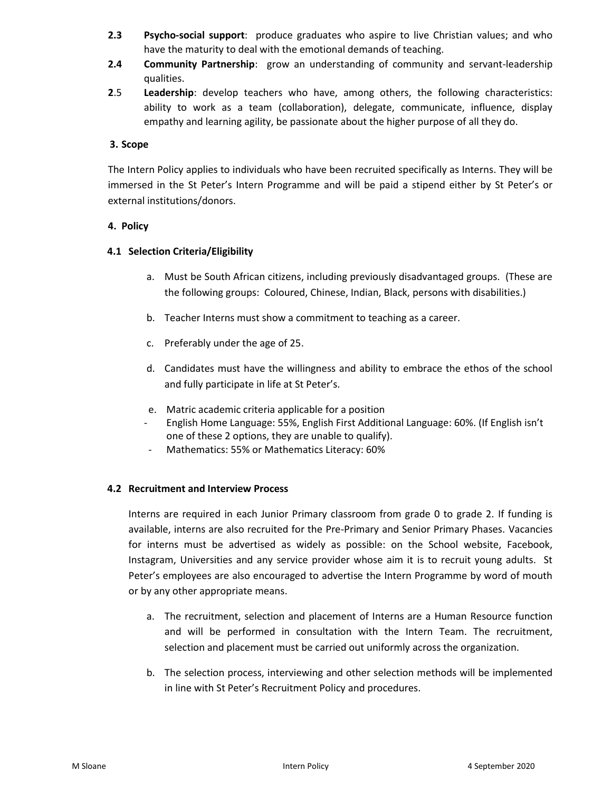- **2.3 Psycho-social support**: produce graduates who aspire to live Christian values; and who have the maturity to deal with the emotional demands of teaching.
- **2.4 Community Partnership**: grow an understanding of community and servant-leadership qualities.
- **2**.5 **Leadership**: develop teachers who have, among others, the following characteristics: ability to work as a team (collaboration), delegate, communicate, influence, display empathy and learning agility, be passionate about the higher purpose of all they do.

# **3. Scope**

The Intern Policy applies to individuals who have been recruited specifically as Interns. They will be immersed in the St Peter's Intern Programme and will be paid a stipend either by St Peter's or external institutions/donors.

# **4. Policy**

# **4.1 Selection Criteria/Eligibility**

- a. Must be South African citizens, including previously disadvantaged groups. (These are the following groups: Coloured, Chinese, Indian, Black, persons with disabilities.)
- b. Teacher Interns must show a commitment to teaching as a career.
- c. Preferably under the age of 25.
- d. Candidates must have the willingness and ability to embrace the ethos of the school and fully participate in life at St Peter's.
- e. Matric academic criteria applicable for a position
- English Home Language: 55%, English First Additional Language: 60%. (If English isn't one of these 2 options, they are unable to qualify).
- Mathematics: 55% or Mathematics Literacy: 60%

# **4.2 Recruitment and Interview Process**

Interns are required in each Junior Primary classroom from grade 0 to grade 2. If funding is available, interns are also recruited for the Pre-Primary and Senior Primary Phases. Vacancies for interns must be advertised as widely as possible: on the School website, Facebook, Instagram, Universities and any service provider whose aim it is to recruit young adults. St Peter's employees are also encouraged to advertise the Intern Programme by word of mouth or by any other appropriate means.

- a. The recruitment, selection and placement of Interns are a Human Resource function and will be performed in consultation with the Intern Team. The recruitment, selection and placement must be carried out uniformly across the organization.
- b. The selection process, interviewing and other selection methods will be implemented in line with St Peter's Recruitment Policy and procedures.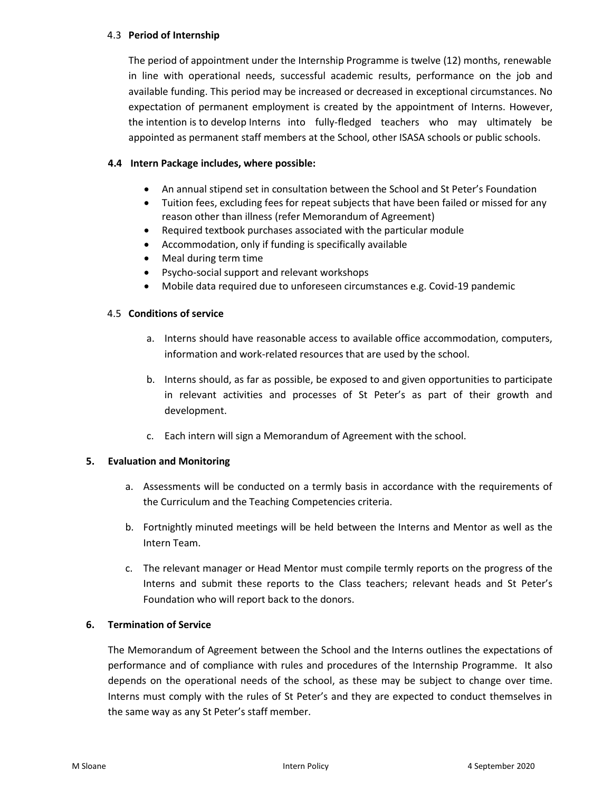# 4.3 **Period of Internship**

The period of appointment under the Internship Programme is twelve (12) months, renewable in line with operational needs, successful academic results, performance on the job and available funding. This period may be increased or decreased in exceptional circumstances. No expectation of permanent employment is created by the appointment of Interns. However, the intention is to develop Interns into fully-fledged teachers who may ultimately be appointed as permanent staff members at the School, other ISASA schools or public schools.

# **4.4 Intern Package includes, where possible:**

- An annual stipend set in consultation between the School and St Peter's Foundation
- Tuition fees, excluding fees for repeat subjects that have been failed or missed for any reason other than illness (refer Memorandum of Agreement)
- Required textbook purchases associated with the particular module
- Accommodation, only if funding is specifically available
- Meal during term time
- Psycho-social support and relevant workshops
- Mobile data required due to unforeseen circumstances e.g. Covid-19 pandemic

# 4.5 **Conditions of service**

- a. Interns should have reasonable access to available office accommodation, computers, information and work-related resources that are used by the school.
- b. Interns should, as far as possible, be exposed to and given opportunities to participate in relevant activities and processes of St Peter's as part of their growth and development.
- c. Each intern will sign a Memorandum of Agreement with the school.

# **5. Evaluation and Monitoring**

- a. Assessments will be conducted on a termly basis in accordance with the requirements of the Curriculum and the Teaching Competencies criteria.
- b. Fortnightly minuted meetings will be held between the Interns and Mentor as well as the Intern Team.
- c. The relevant manager or Head Mentor must compile termly reports on the progress of the Interns and submit these reports to the Class teachers; relevant heads and St Peter's Foundation who will report back to the donors.

# **6. Termination of Service**

The Memorandum of Agreement between the School and the Interns outlines the expectations of performance and of compliance with rules and procedures of the Internship Programme. It also depends on the operational needs of the school, as these may be subject to change over time. Interns must comply with the rules of St Peter's and they are expected to conduct themselves in the same way as any St Peter's staff member.